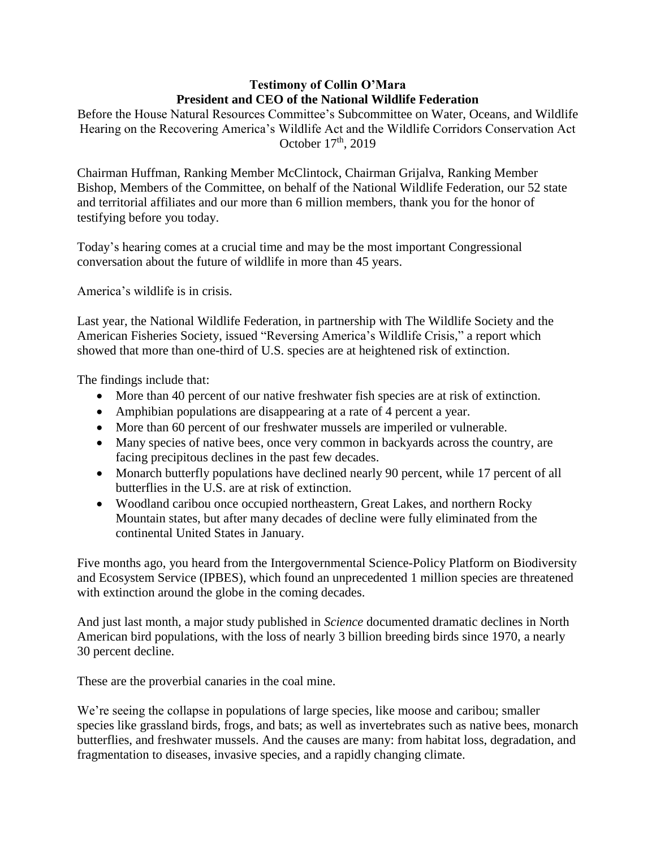# **Testimony of Collin O'Mara President and CEO of the National Wildlife Federation**

Before the House Natural Resources Committee's Subcommittee on Water, Oceans, and Wildlife Hearing on the Recovering America's Wildlife Act and the Wildlife Corridors Conservation Act October 17<sup>th</sup>, 2019

Chairman Huffman, Ranking Member McClintock, Chairman Grijalva, Ranking Member Bishop, Members of the Committee, on behalf of the National Wildlife Federation, our 52 state and territorial affiliates and our more than 6 million members, thank you for the honor of testifying before you today.

Today's hearing comes at a crucial time and may be the most important Congressional conversation about the future of wildlife in more than 45 years.

America's wildlife is in crisis.

Last year, the National Wildlife Federation, in partnership with The Wildlife Society and the American Fisheries Society, issued "Reversing America's Wildlife Crisis," a report which showed that more than one-third of U.S. species are at heightened risk of extinction.

The findings include that:

- More than 40 percent of our native freshwater fish species are at risk of extinction.
- Amphibian populations are disappearing at a rate of 4 percent a year.
- More than 60 percent of our freshwater mussels are imperiled or vulnerable.
- Many species of native bees, once very common in backyards across the country, are facing precipitous declines in the past few decades.
- Monarch butterfly populations have declined nearly 90 percent, while 17 percent of all butterflies in the U.S. are at risk of extinction.
- Woodland caribou once occupied northeastern, Great Lakes, and northern Rocky Mountain states, but after many decades of decline were fully eliminated from the continental United States in January.

Five months ago, you heard from the Intergovernmental Science-Policy Platform on Biodiversity and Ecosystem Service (IPBES), which found an unprecedented 1 million species are threatened with extinction around the globe in the coming decades.

And just last month, a major study published in *Science* documented dramatic declines in North American bird populations, with the loss of nearly 3 billion breeding birds since 1970, a nearly 30 percent decline.

These are the proverbial canaries in the coal mine.

We're seeing the collapse in populations of large species, like moose and caribou; smaller species like grassland birds, frogs, and bats; as well as invertebrates such as native bees, monarch butterflies, and freshwater mussels. And the causes are many: from habitat loss, degradation, and fragmentation to diseases, invasive species, and a rapidly changing climate.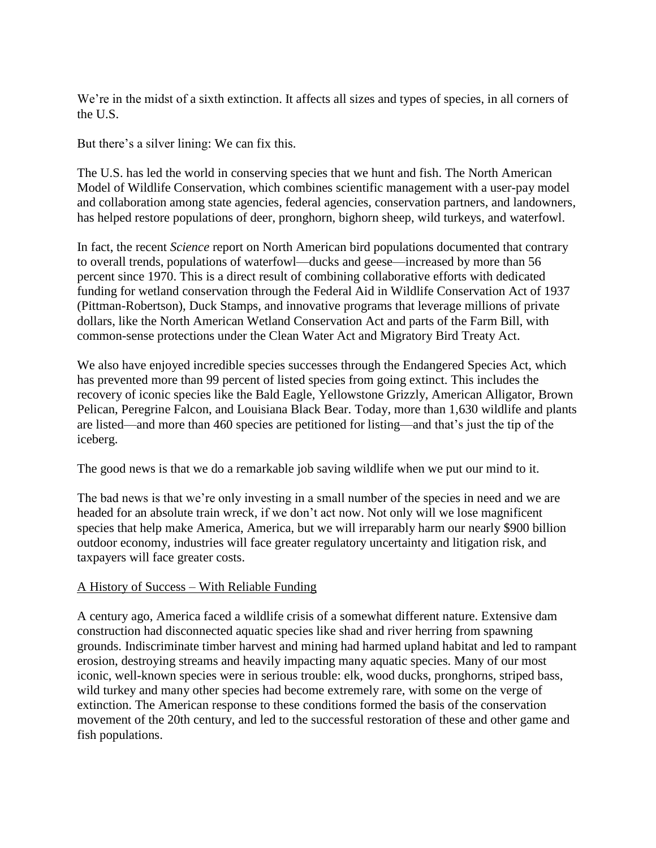We're in the midst of a sixth extinction. It affects all sizes and types of species, in all corners of the U.S.

But there's a silver lining: We can fix this.

The U.S. has led the world in conserving species that we hunt and fish. The North American Model of Wildlife Conservation, which combines scientific management with a user-pay model and collaboration among state agencies, federal agencies, conservation partners, and landowners, has helped restore populations of deer, pronghorn, bighorn sheep, wild turkeys, and waterfowl.

In fact, the recent *Science* report on North American bird populations documented that contrary to overall trends, populations of waterfowl—ducks and geese—increased by more than 56 percent since 1970. This is a direct result of combining collaborative efforts with dedicated funding for wetland conservation through the Federal Aid in Wildlife Conservation Act of 1937 (Pittman-Robertson), Duck Stamps, and innovative programs that leverage millions of private dollars, like the North American Wetland Conservation Act and parts of the Farm Bill, with common-sense protections under the Clean Water Act and Migratory Bird Treaty Act.

We also have enjoyed incredible species successes through the Endangered Species Act, which has prevented more than 99 percent of listed species from going extinct. This includes the recovery of iconic species like the Bald Eagle, Yellowstone Grizzly, American Alligator, Brown Pelican, Peregrine Falcon, and Louisiana Black Bear. Today, more than 1,630 wildlife and plants are listed—and more than 460 species are petitioned for listing—and that's just the tip of the iceberg.

The good news is that we do a remarkable job saving wildlife when we put our mind to it.

The bad news is that we're only investing in a small number of the species in need and we are headed for an absolute train wreck, if we don't act now. Not only will we lose magnificent species that help make America, America, but we will irreparably harm our nearly \$900 billion outdoor economy, industries will face greater regulatory uncertainty and litigation risk, and taxpayers will face greater costs.

# A History of Success – With Reliable Funding

A century ago, America faced a wildlife crisis of a somewhat different nature. Extensive dam construction had disconnected aquatic species like shad and river herring from spawning grounds. Indiscriminate timber harvest and mining had harmed upland habitat and led to rampant erosion, destroying streams and heavily impacting many aquatic species. Many of our most iconic, well-known species were in serious trouble: elk, wood ducks, pronghorns, striped bass, wild turkey and many other species had become extremely rare, with some on the verge of extinction. The American response to these conditions formed the basis of the conservation movement of the 20th century, and led to the successful restoration of these and other game and fish populations.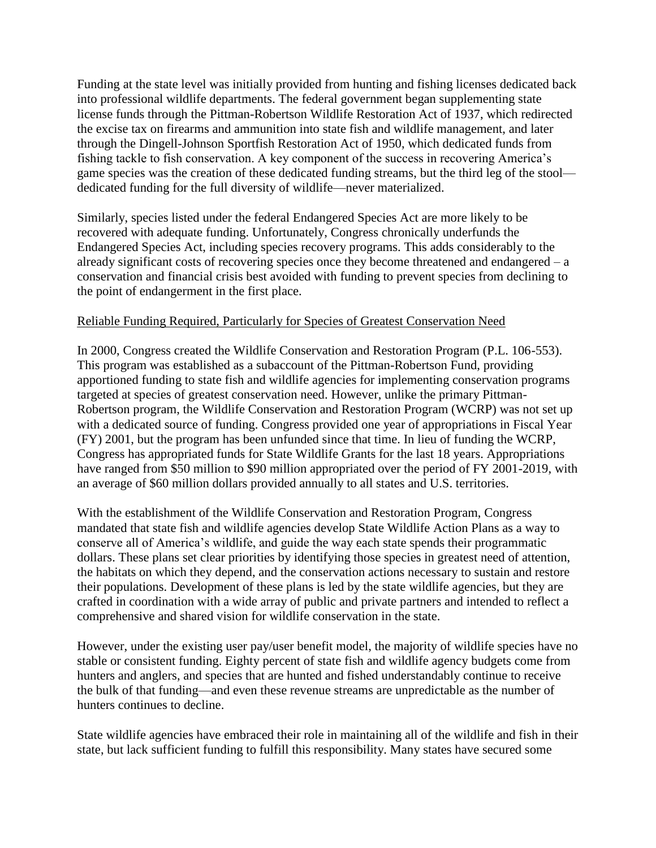Funding at the state level was initially provided from hunting and fishing licenses dedicated back into professional wildlife departments. The federal government began supplementing state license funds through the Pittman-Robertson Wildlife Restoration Act of 1937, which redirected the excise tax on firearms and ammunition into state fish and wildlife management, and later through the Dingell-Johnson Sportfish Restoration Act of 1950, which dedicated funds from fishing tackle to fish conservation. A key component of the success in recovering America's game species was the creation of these dedicated funding streams, but the third leg of the stool dedicated funding for the full diversity of wildlife—never materialized.

Similarly, species listed under the federal Endangered Species Act are more likely to be recovered with adequate funding. Unfortunately, Congress chronically underfunds the Endangered Species Act, including species recovery programs. This adds considerably to the already significant costs of recovering species once they become threatened and endangered – a conservation and financial crisis best avoided with funding to prevent species from declining to the point of endangerment in the first place.

# Reliable Funding Required, Particularly for Species of Greatest Conservation Need

In 2000, Congress created the Wildlife Conservation and Restoration Program (P.L. 106-553). This program was established as a subaccount of the Pittman-Robertson Fund, providing apportioned funding to state fish and wildlife agencies for implementing conservation programs targeted at species of greatest conservation need. However, unlike the primary Pittman-Robertson program, the Wildlife Conservation and Restoration Program (WCRP) was not set up with a dedicated source of funding. Congress provided one year of appropriations in Fiscal Year (FY) 2001, but the program has been unfunded since that time. In lieu of funding the WCRP, Congress has appropriated funds for State Wildlife Grants for the last 18 years. Appropriations have ranged from \$50 million to \$90 million appropriated over the period of FY 2001-2019, with an average of \$60 million dollars provided annually to all states and U.S. territories.

With the establishment of the Wildlife Conservation and Restoration Program, Congress mandated that state fish and wildlife agencies develop State Wildlife Action Plans as a way to conserve all of America's wildlife, and guide the way each state spends their programmatic dollars. These plans set clear priorities by identifying those species in greatest need of attention, the habitats on which they depend, and the conservation actions necessary to sustain and restore their populations. Development of these plans is led by the state wildlife agencies, but they are crafted in coordination with a wide array of public and private partners and intended to reflect a comprehensive and shared vision for wildlife conservation in the state.

However, under the existing user pay/user benefit model, the majority of wildlife species have no stable or consistent funding. Eighty percent of state fish and wildlife agency budgets come from hunters and anglers, and species that are hunted and fished understandably continue to receive the bulk of that funding—and even these revenue streams are unpredictable as the number of hunters continues to decline.

State wildlife agencies have embraced their role in maintaining all of the wildlife and fish in their state, but lack sufficient funding to fulfill this responsibility. Many states have secured some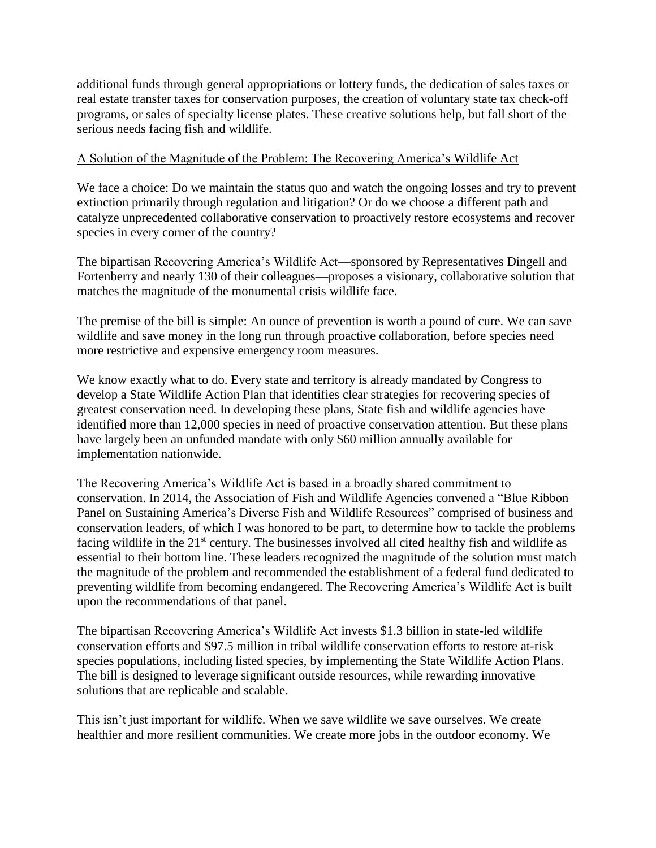additional funds through general appropriations or lottery funds, the dedication of sales taxes or real estate transfer taxes for conservation purposes, the creation of voluntary state tax check-off programs, or sales of specialty license plates. These creative solutions help, but fall short of the serious needs facing fish and wildlife.

## A Solution of the Magnitude of the Problem: The Recovering America's Wildlife Act

We face a choice: Do we maintain the status quo and watch the ongoing losses and try to prevent extinction primarily through regulation and litigation? Or do we choose a different path and catalyze unprecedented collaborative conservation to proactively restore ecosystems and recover species in every corner of the country?

The bipartisan Recovering America's Wildlife Act—sponsored by Representatives Dingell and Fortenberry and nearly 130 of their colleagues—proposes a visionary, collaborative solution that matches the magnitude of the monumental crisis wildlife face.

The premise of the bill is simple: An ounce of prevention is worth a pound of cure. We can save wildlife and save money in the long run through proactive collaboration, before species need more restrictive and expensive emergency room measures.

We know exactly what to do. Every state and territory is already mandated by Congress to develop a State Wildlife Action Plan that identifies clear strategies for recovering species of greatest conservation need. In developing these plans, State fish and wildlife agencies have identified more than 12,000 species in need of proactive conservation attention. But these plans have largely been an unfunded mandate with only \$60 million annually available for implementation nationwide.

The Recovering America's Wildlife Act is based in a broadly shared commitment to conservation. In 2014, the Association of Fish and Wildlife Agencies convened a "Blue Ribbon Panel on Sustaining America's Diverse Fish and Wildlife Resources" comprised of business and conservation leaders, of which I was honored to be part, to determine how to tackle the problems facing wildlife in the 21<sup>st</sup> century. The businesses involved all cited healthy fish and wildlife as essential to their bottom line. These leaders recognized the magnitude of the solution must match the magnitude of the problem and recommended the establishment of a federal fund dedicated to preventing wildlife from becoming endangered. The Recovering America's Wildlife Act is built upon the recommendations of that panel.

The bipartisan Recovering America's Wildlife Act invests \$1.3 billion in state-led wildlife conservation efforts and \$97.5 million in tribal wildlife conservation efforts to restore at-risk species populations, including listed species, by implementing the State Wildlife Action Plans. The bill is designed to leverage significant outside resources, while rewarding innovative solutions that are replicable and scalable.

This isn't just important for wildlife. When we save wildlife we save ourselves. We create healthier and more resilient communities. We create more jobs in the outdoor economy. We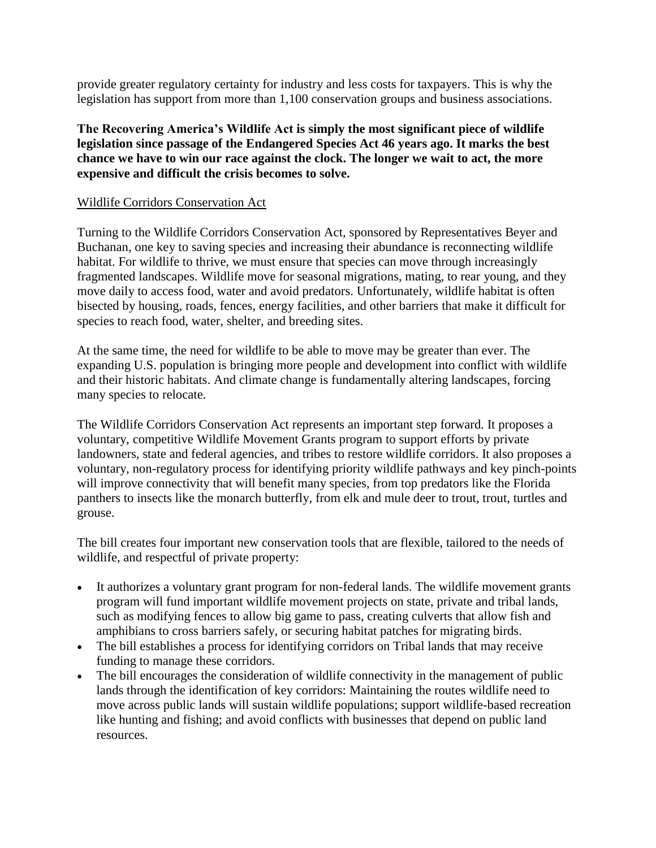provide greater regulatory certainty for industry and less costs for taxpayers. This is why the legislation has support from more than 1,100 conservation groups and business associations.

**The Recovering America's Wildlife Act is simply the most significant piece of wildlife legislation since passage of the Endangered Species Act 46 years ago. It marks the best chance we have to win our race against the clock. The longer we wait to act, the more expensive and difficult the crisis becomes to solve.**

#### Wildlife Corridors Conservation Act

Turning to the Wildlife Corridors Conservation Act, sponsored by Representatives Beyer and Buchanan, one key to saving species and increasing their abundance is reconnecting wildlife habitat. For wildlife to thrive, we must ensure that species can move through increasingly fragmented landscapes. Wildlife move for seasonal migrations, mating, to rear young, and they move daily to access food, water and avoid predators. Unfortunately, wildlife habitat is often bisected by housing, roads, fences, energy facilities, and other barriers that make it difficult for species to reach food, water, shelter, and breeding sites.

At the same time, the need for wildlife to be able to move may be greater than ever. The expanding U.S. population is bringing more people and development into conflict with wildlife and their historic habitats. And climate change is fundamentally altering landscapes, forcing many species to relocate.

The Wildlife Corridors Conservation Act represents an important step forward. It proposes a voluntary, competitive Wildlife Movement Grants program to support efforts by private landowners, state and federal agencies, and tribes to restore wildlife corridors. It also proposes a voluntary, non-regulatory process for identifying priority wildlife pathways and key pinch-points will improve connectivity that will benefit many species, from top predators like the Florida panthers to insects like the monarch butterfly, from elk and mule deer to trout, trout, turtles and grouse.

The bill creates four important new conservation tools that are flexible, tailored to the needs of wildlife, and respectful of private property:

- It authorizes a voluntary grant program for non-federal lands. The wildlife movement grants program will fund important wildlife movement projects on state, private and tribal lands, such as modifying fences to allow big game to pass, creating culverts that allow fish and amphibians to cross barriers safely, or securing habitat patches for migrating birds.
- The bill establishes a process for identifying corridors on Tribal lands that may receive funding to manage these corridors.
- The bill encourages the consideration of wildlife connectivity in the management of public lands through the identification of key corridors: Maintaining the routes wildlife need to move across public lands will sustain wildlife populations; support wildlife-based recreation like hunting and fishing; and avoid conflicts with businesses that depend on public land resources.